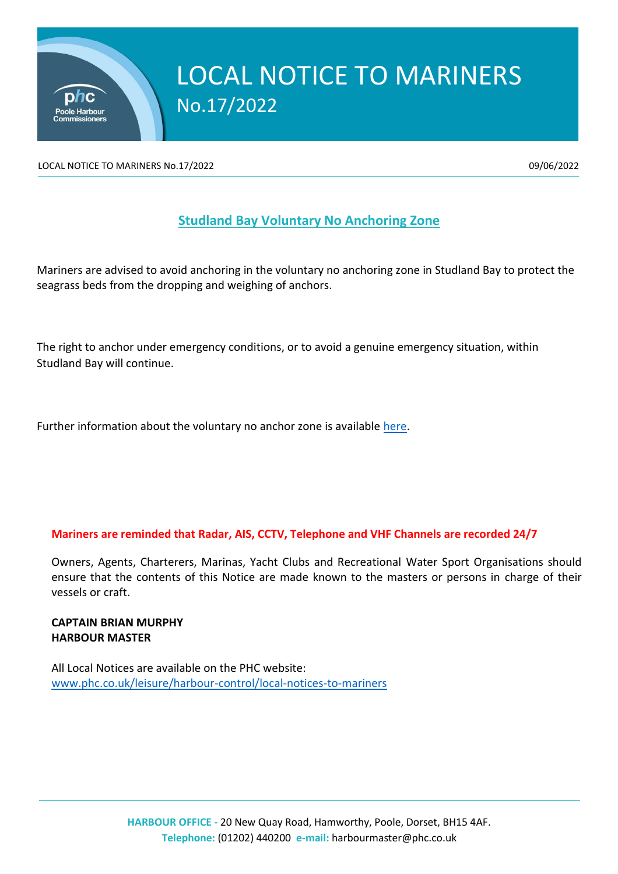

## LOCAL NOTICE TO MARINERS No.17/2022

LOCAL NOTICE TO MARINERS No.17/2022 **199/06/2022** 09/06/2022

## **Studland Bay Voluntary No Anchoring Zone**

Mariners are advised to avoid anchoring in the voluntary no anchoring zone in Studland Bay to protect the seagrass beds from the dropping and weighing of anchors.

The right to anchor under emergency conditions, or to avoid a genuine emergency situation, within Studland Bay will continue.

Further information about the voluntary no anchor zone is available [here.](https://www.gov.uk/government/publications/managing-marine-non-licensable-activities-studland-bay-next-steps)

## **Mariners are reminded that Radar, AIS, CCTV, Telephone and VHF Channels are recorded 24/7**

Owners, Agents, Charterers, Marinas, Yacht Clubs and Recreational Water Sport Organisations should ensure that the contents of this Notice are made known to the masters or persons in charge of their vessels or craft.

## **CAPTAIN BRIAN MURPHY HARBOUR MASTER**

All Local Notices are available on the PHC website: [www.phc.co.uk/leisure/harbour-control/local-notices-to-mariners](http://www.phc.co.uk/leisure/harbour-control/local-notices-to-mariners)